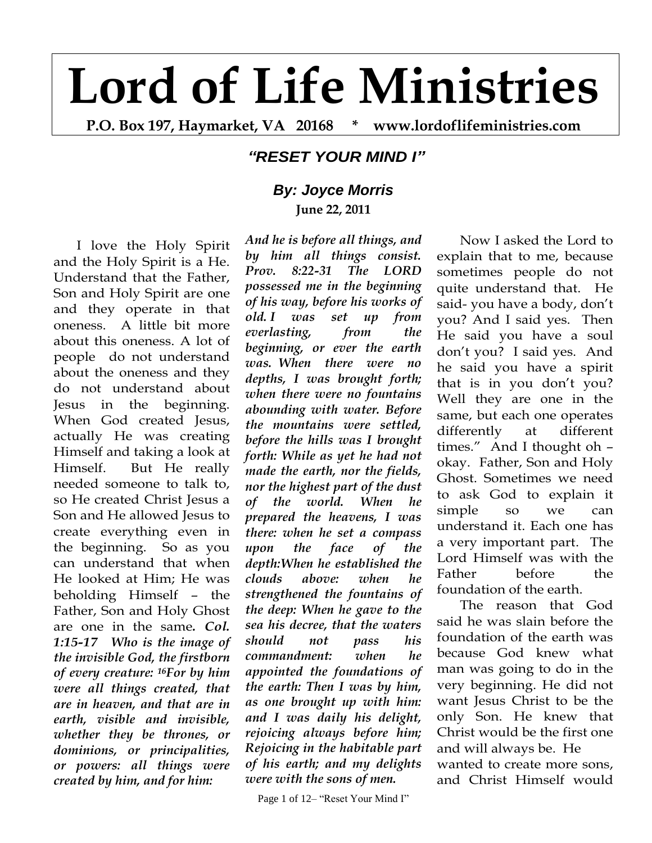## **Lord of Life Ministries**

**P.O. Box 197, Haymarket, VA 20168 \* www.lordoflifeministries.com**

## *"RESET YOUR MIND I"*

## *By: Joyce Morris* **June 22, 2011**

I love the Holy Spirit and the Holy Spirit is a He. Understand that the Father, Son and Holy Spirit are one and they operate in that oneness. A little bit more about this oneness. A lot of people do not understand about the oneness and they do not understand about Jesus in the beginning. When God created Jesus, actually He was creating Himself and taking a look at Himself. But He really needed someone to talk to, so He created Christ Jesus a Son and He allowed Jesus to create everything even in the beginning. So as you can understand that when He looked at Him; He was beholding Himself – the Father, Son and Holy Ghost are one in the same*. Col. 1:15-17 Who is the image of the invisible God, the firstborn of every creature: 16For by him were all things created, that are in heaven, and that are in earth, visible and invisible, whether they be thrones, or dominions, or principalities, or powers: all things were created by him, and for him:* 

*And he is before all things, and by him all things consist. Prov. 8:22-31 The LORD possessed me in the beginning of his way, before his works of old. I was set up from everlasting, from the beginning, or ever the earth was. When there were no depths, I was brought forth; when there were no fountains abounding with water. Before the mountains were settled, before the hills was I brought forth: While as yet he had not made the earth, nor the fields, nor the highest part of the dust of the world. When he prepared the heavens, I was there: when he set a compass upon the face of the depth:When he established the clouds above: when he strengthened the fountains of the deep: When he gave to the sea his decree, that the waters should not pass his commandment: when he appointed the foundations of the earth: Then I was by him, as one brought up with him: and I was daily his delight, rejoicing always before him; Rejoicing in the habitable part of his earth; and my delights were with the sons of men.*

Page 1 of 12– "Reset Your Mind I"

Now I asked the Lord to explain that to me, because sometimes people do not quite understand that. He said- you have a body, don't you? And I said yes. Then He said you have a soul don't you? I said yes. And he said you have a spirit that is in you don't you? Well they are one in the same, but each one operates differently at different times." And I thought oh – okay. Father, Son and Holy Ghost. Sometimes we need to ask God to explain it simple so we can understand it. Each one has a very important part. The Lord Himself was with the Father before the foundation of the earth.

The reason that God said he was slain before the foundation of the earth was because God knew what man was going to do in the very beginning. He did not want Jesus Christ to be the only Son. He knew that Christ would be the first one and will always be. He wanted to create more sons, and Christ Himself would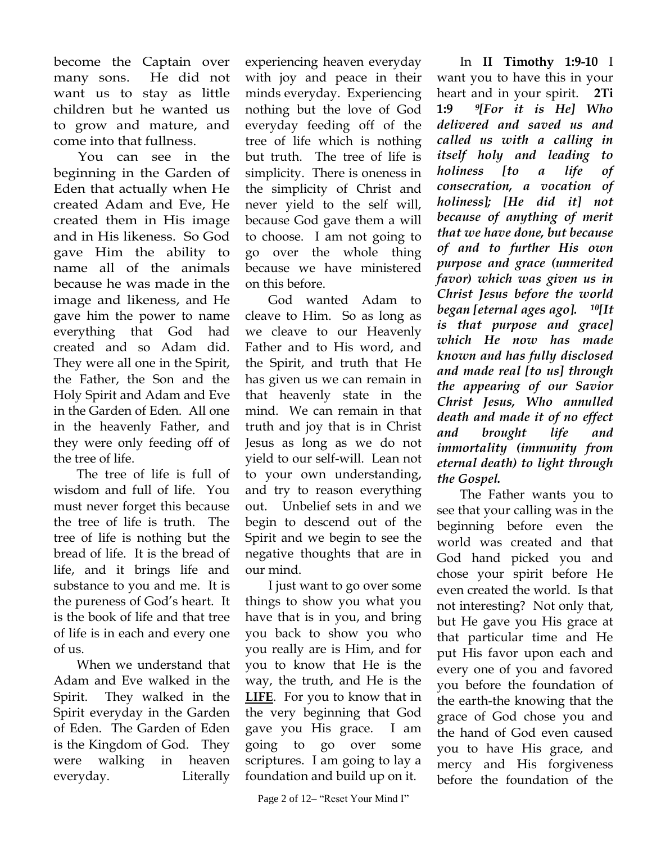become the Captain over many sons. He did not want us to stay as little children but he wanted us to grow and mature, and come into that fullness.

 You can see in the beginning in the Garden of Eden that actually when He created Adam and Eve, He created them in His image and in His likeness. So God gave Him the ability to name all of the animals because he was made in the image and likeness, and He gave him the power to name everything that God had created and so Adam did. They were all one in the Spirit, the Father, the Son and the Holy Spirit and Adam and Eve in the Garden of Eden. All one in the heavenly Father, and they were only feeding off of the tree of life.

The tree of life is full of wisdom and full of life. You must never forget this because the tree of life is truth. The tree of life is nothing but the bread of life. It is the bread of life, and it brings life and substance to you and me. It is the pureness of God's heart. It is the book of life and that tree of life is in each and every one of us.

When we understand that Adam and Eve walked in the Spirit. They walked in the Spirit everyday in the Garden of Eden. The Garden of Eden is the Kingdom of God. They were walking in heaven everyday. Literally

experiencing heaven everyday with joy and peace in their minds everyday. Experiencing nothing but the love of God everyday feeding off of the tree of life which is nothing but truth. The tree of life is simplicity. There is oneness in the simplicity of Christ and never yield to the self will, because God gave them a will to choose. I am not going to go over the whole thing because we have ministered on this before.

God wanted Adam to cleave to Him. So as long as we cleave to our Heavenly Father and to His word, and the Spirit, and truth that He has given us we can remain in that heavenly state in the mind. We can remain in that truth and joy that is in Christ Jesus as long as we do not yield to our self-will. Lean not to your own understanding, and try to reason everything out. Unbelief sets in and we begin to descend out of the Spirit and we begin to see the negative thoughts that are in our mind.

I just want to go over some things to show you what you have that is in you, and bring you back to show you who you really are is Him, and for you to know that He is the way, the truth, and He is the **LIFE**. For you to know that in the very beginning that God gave you His grace. I am going to go over some scriptures. I am going to lay a foundation and build up on it.

In **II Timothy 1:9-10** I want you to have this in your heart and in your spirit. **2Ti 1:9** *9[For it is He] Who delivered and saved us and called us with a calling in itself holy and leading to holiness [to a life of consecration, a vocation of holiness]; [He did it] not because of anything of merit that we have done, but because of and to further His own purpose and grace (unmerited favor) which was given us in Christ Jesus before the world began [eternal ages ago]. <sup>10</sup>[It is that purpose and grace] which He now has made known and has fully disclosed and made real [to us] through the appearing of our Savior Christ Jesus, Who annulled death and made it of no effect and brought life and immortality (immunity from eternal death) to light through the Gospel.*

The Father wants you to see that your calling was in the beginning before even the world was created and that God hand picked you and chose your spirit before He even created the world. Is that not interesting? Not only that, but He gave you His grace at that particular time and He put His favor upon each and every one of you and favored you before the foundation of the earth-the knowing that the grace of God chose you and the hand of God even caused you to have His grace, and mercy and His forgiveness before the foundation of the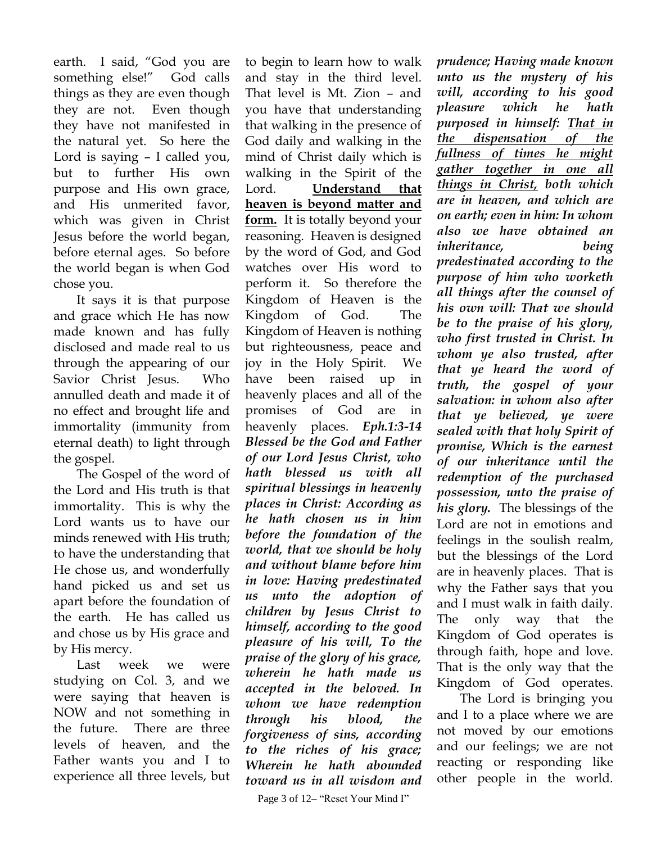earth. I said, "God you are something else!" God calls things as they are even though they are not. Even though they have not manifested in the natural yet. So here the Lord is saying – I called you, but to further His own purpose and His own grace, and His unmerited favor, which was given in Christ Jesus before the world began, before eternal ages. So before the world began is when God chose you.

It says it is that purpose and grace which He has now made known and has fully disclosed and made real to us through the appearing of our Savior Christ Jesus. Who annulled death and made it of no effect and brought life and immortality (immunity from eternal death) to light through the gospel.

The Gospel of the word of the Lord and His truth is that immortality. This is why the Lord wants us to have our minds renewed with His truth; to have the understanding that He chose us, and wonderfully hand picked us and set us apart before the foundation of the earth. He has called us and chose us by His grace and by His mercy.

Last week we were studying on Col. 3, and we were saying that heaven is NOW and not something in the future. There are three levels of heaven, and the Father wants you and I to experience all three levels, but

to begin to learn how to walk and stay in the third level. That level is Mt. Zion – and you have that understanding that walking in the presence of God daily and walking in the mind of Christ daily which is walking in the Spirit of the Lord. **Understand that heaven is beyond matter and form.** It is totally beyond your reasoning. Heaven is designed by the word of God, and God watches over His word to perform it. So therefore the Kingdom of Heaven is the Kingdom of God. The Kingdom of Heaven is nothing but righteousness, peace and joy in the Holy Spirit. We have been raised up in heavenly places and all of the promises of God are in heavenly places. *Eph.1:3-14 Blessed be the God and Father of our Lord Jesus Christ, who hath blessed us with all spiritual blessings in heavenly places in Christ: According as he hath chosen us in him before the foundation of the world, that we should be holy and without blame before him in love: Having predestinated us unto the adoption of children by Jesus Christ to himself, according to the good pleasure of his will, To the praise of the glory of his grace, wherein he hath made us accepted in the beloved. In whom we have redemption through his blood, the forgiveness of sins, according to the riches of his grace; Wherein he hath abounded toward us in all wisdom and* 

*prudence; Having made known unto us the mystery of his will, according to his good pleasure which he hath purposed in himself: That in the dispensation of the fullness of times he might gather together in one all things in Christ, both which are in heaven, and which are on earth; even in him: In whom also we have obtained an inheritance, being predestinated according to the purpose of him who worketh all things after the counsel of his own will: That we should be to the praise of his glory, who first trusted in Christ. In whom ye also trusted, after that ye heard the word of truth, the gospel of your salvation: in whom also after that ye believed, ye were sealed with that holy Spirit of promise, Which is the earnest of our inheritance until the redemption of the purchased possession, unto the praise of his glory.* The blessings of the Lord are not in emotions and feelings in the soulish realm, but the blessings of the Lord are in heavenly places. That is why the Father says that you and I must walk in faith daily. The only way that the Kingdom of God operates is through faith, hope and love. That is the only way that the Kingdom of God operates.

The Lord is bringing you and I to a place where we are not moved by our emotions and our feelings; we are not reacting or responding like other people in the world.

Page 3 of 12– "Reset Your Mind I"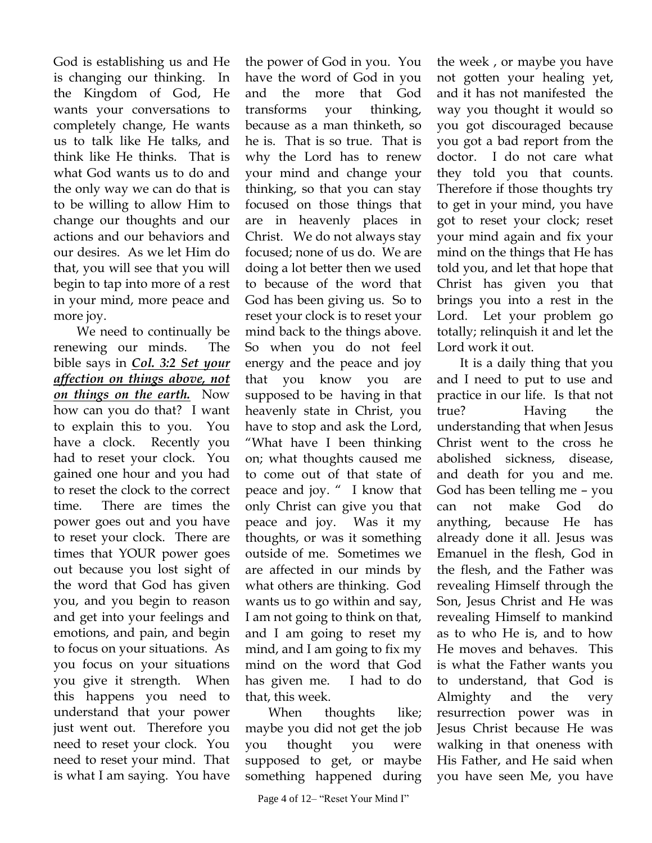God is establishing us and He is changing our thinking. In the Kingdom of God, He wants your conversations to completely change, He wants us to talk like He talks, and think like He thinks. That is what God wants us to do and the only way we can do that is to be willing to allow Him to change our thoughts and our actions and our behaviors and our desires. As we let Him do that, you will see that you will begin to tap into more of a rest in your mind, more peace and more joy.

We need to continually be renewing our minds. The bible says in *Col. 3:2 Set your affection on things above, not on things on the earth.* Now how can you do that? I want to explain this to you. You have a clock. Recently you had to reset your clock. You gained one hour and you had to reset the clock to the correct time. There are times the power goes out and you have to reset your clock. There are times that YOUR power goes out because you lost sight of the word that God has given you, and you begin to reason and get into your feelings and emotions, and pain, and begin to focus on your situations. As you focus on your situations you give it strength. When this happens you need to understand that your power just went out. Therefore you need to reset your clock. You need to reset your mind. That is what I am saying. You have

the power of God in you. You have the word of God in you and the more that God transforms your thinking, because as a man thinketh, so he is. That is so true. That is why the Lord has to renew your mind and change your thinking, so that you can stay focused on those things that are in heavenly places in Christ. We do not always stay focused; none of us do. We are doing a lot better then we used to because of the word that God has been giving us. So to reset your clock is to reset your mind back to the things above. So when you do not feel energy and the peace and joy that you know you are supposed to be having in that heavenly state in Christ, you have to stop and ask the Lord, "What have I been thinking on; what thoughts caused me to come out of that state of peace and joy. " I know that only Christ can give you that peace and joy. Was it my thoughts, or was it something outside of me. Sometimes we are affected in our minds by what others are thinking. God wants us to go within and say, I am not going to think on that, and I am going to reset my mind, and I am going to fix my mind on the word that God has given me. I had to do that, this week.

When thoughts like; maybe you did not get the job you thought you were supposed to get, or maybe something happened during

the week , or maybe you have not gotten your healing yet, and it has not manifested the way you thought it would so you got discouraged because you got a bad report from the doctor. I do not care what they told you that counts. Therefore if those thoughts try to get in your mind, you have got to reset your clock; reset your mind again and fix your mind on the things that He has told you, and let that hope that Christ has given you that brings you into a rest in the Lord. Let your problem go totally; relinquish it and let the Lord work it out.

It is a daily thing that you and I need to put to use and practice in our life. Is that not true? Having the understanding that when Jesus Christ went to the cross he abolished sickness, disease, and death for you and me. God has been telling me – you can not make God do anything, because He has already done it all. Jesus was Emanuel in the flesh, God in the flesh, and the Father was revealing Himself through the Son, Jesus Christ and He was revealing Himself to mankind as to who He is, and to how He moves and behaves. This is what the Father wants you to understand, that God is Almighty and the very resurrection power was in Jesus Christ because He was walking in that oneness with His Father, and He said when you have seen Me, you have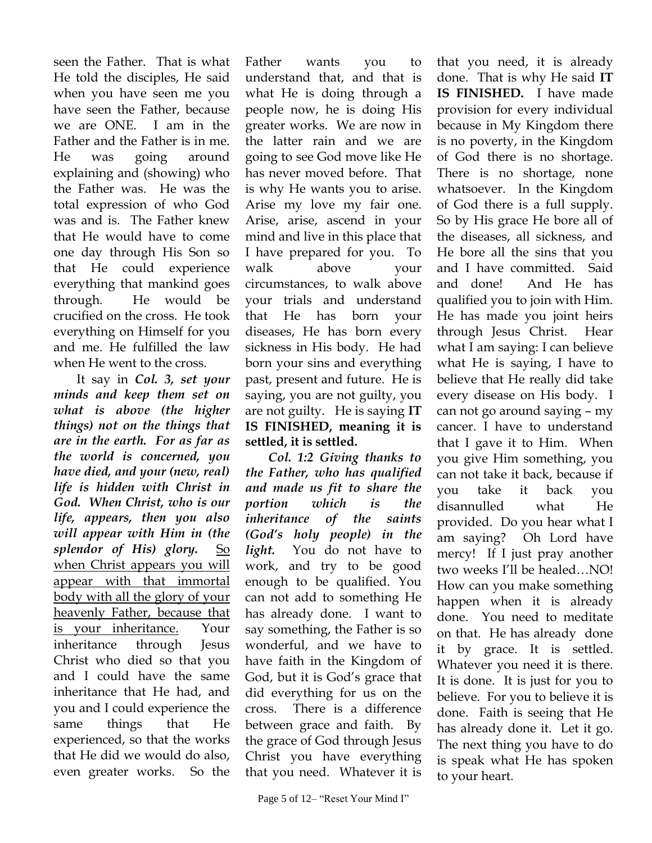seen the Father. That is what He told the disciples, He said when you have seen me you have seen the Father, because we are ONE. I am in the Father and the Father is in me. He was going around explaining and (showing) who the Father was. He was the total expression of who God was and is. The Father knew that He would have to come one day through His Son so that He could experience everything that mankind goes through. He would be crucified on the cross. He took everything on Himself for you and me. He fulfilled the law when He went to the cross.

It say in *Col. 3, set your minds and keep them set on what is above (the higher things) not on the things that are in the earth. For as far as the world is concerned, you have died, and your (new, real) life is hidden with Christ in God. When Christ, who is our life, appears, then you also will appear with Him in (the splendor of His) glory.* So when Christ appears you will appear with that immortal body with all the glory of your heavenly Father, because that is your inheritance. Your inheritance through Jesus Christ who died so that you and I could have the same inheritance that He had, and you and I could experience the same things that He experienced, so that the works that He did we would do also, even greater works. So the

Father wants you to understand that, and that is what He is doing through a people now, he is doing His greater works. We are now in the latter rain and we are going to see God move like He has never moved before. That is why He wants you to arise. Arise my love my fair one. Arise, arise, ascend in your mind and live in this place that I have prepared for you. To walk above your circumstances, to walk above your trials and understand that He has born your diseases, He has born every sickness in His body. He had born your sins and everything past, present and future. He is saying, you are not guilty, you are not guilty. He is saying **IT IS FINISHED, meaning it is settled, it is settled.**

*Col. 1:2 Giving thanks to the Father, who has qualified and made us fit to share the portion which is the inheritance of the saints (God's holy people) in the light.* You do not have to work, and try to be good enough to be qualified. You can not add to something He has already done. I want to say something, the Father is so wonderful, and we have to have faith in the Kingdom of God, but it is God's grace that did everything for us on the cross. There is a difference between grace and faith. By the grace of God through Jesus Christ you have everything that you need. Whatever it is

that you need, it is already done. That is why He said **IT IS FINISHED.** I have made provision for every individual because in My Kingdom there is no poverty, in the Kingdom of God there is no shortage. There is no shortage, none whatsoever. In the Kingdom of God there is a full supply. So by His grace He bore all of the diseases, all sickness, and He bore all the sins that you and I have committed. Said and done! And He has qualified you to join with Him. He has made you joint heirs through Jesus Christ. Hear what I am saying: I can believe what He is saying, I have to believe that He really did take every disease on His body. I can not go around saying – my cancer. I have to understand that I gave it to Him. When you give Him something, you can not take it back, because if you take it back you disannulled what He provided. Do you hear what I am saying? Oh Lord have mercy! If I just pray another two weeks I'll be healed…NO! How can you make something happen when it is already done. You need to meditate on that. He has already done it by grace. It is settled. Whatever you need it is there. It is done. It is just for you to believe. For you to believe it is done. Faith is seeing that He has already done it. Let it go. The next thing you have to do is speak what He has spoken to your heart.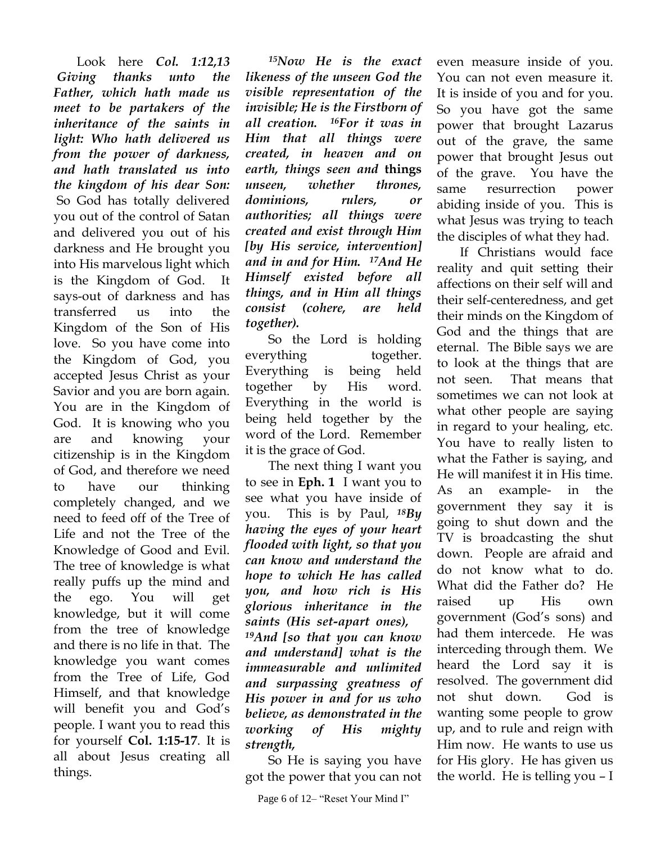Look here *Col. 1:12,13 Giving thanks unto the Father, which hath made us meet to be partakers of the inheritance of the saints in light: Who hath delivered us from the power of darkness, and hath translated us into the kingdom of his dear Son:* So God has totally delivered you out of the control of Satan and delivered you out of his darkness and He brought you into His marvelous light which is the Kingdom of God. It says-out of darkness and has transferred us into the Kingdom of the Son of His love. So you have come into the Kingdom of God, you accepted Jesus Christ as your Savior and you are born again. You are in the Kingdom of God. It is knowing who you are and knowing your citizenship is in the Kingdom of God, and therefore we need to have our thinking completely changed, and we need to feed off of the Tree of Life and not the Tree of the Knowledge of Good and Evil. The tree of knowledge is what really puffs up the mind and the ego. You will get knowledge, but it will come from the tree of knowledge and there is no life in that. The knowledge you want comes from the Tree of Life, God Himself, and that knowledge will benefit you and God's people. I want you to read this for yourself **Col. 1:15-17**. It is all about Jesus creating all things.

 *<sup>15</sup>Now He is the exact likeness of the unseen God the visible representation of the invisible; He is the Firstborn of all creation. 16For it was in Him that all things were created, in heaven and on earth, things seen and* **things**  *unseen, whether thrones, dominions, rulers, or authorities; all things were created and exist through Him [by His service, intervention] and in and for Him. 17And He Himself existed before all things, and in Him all things consist (cohere, are held together).*

So the Lord is holding everything together. Everything is being held together by His word. Everything in the world is being held together by the word of the Lord. Remember it is the grace of God.

The next thing I want you to see in **Eph. 1** I want you to see what you have inside of you. This is by Paul, *<sup>18</sup>By having the eyes of your heart flooded with light, so that you can know and understand the hope to which He has called you, and how rich is His glorious inheritance in the saints (His set-apart ones),* 

*<sup>19</sup>And [so that you can know and understand] what is the immeasurable and unlimited and surpassing greatness of His power in and for us who believe, as demonstrated in the working of His mighty strength,*

So He is saying you have got the power that you can not even measure inside of you. You can not even measure it. It is inside of you and for you. So you have got the same power that brought Lazarus out of the grave, the same power that brought Jesus out of the grave. You have the same resurrection power abiding inside of you. This is what Jesus was trying to teach the disciples of what they had.

If Christians would face reality and quit setting their affections on their self will and their self-centeredness, and get their minds on the Kingdom of God and the things that are eternal. The Bible says we are to look at the things that are not seen. That means that sometimes we can not look at what other people are saying in regard to your healing, etc. You have to really listen to what the Father is saying, and He will manifest it in His time. As an example- in the government they say it is going to shut down and the TV is broadcasting the shut down. People are afraid and do not know what to do. What did the Father do? He raised up His own government (God's sons) and had them intercede. He was interceding through them. We heard the Lord say it is resolved. The government did not shut down. God is wanting some people to grow up, and to rule and reign with Him now. He wants to use us for His glory. He has given us the world. He is telling you – I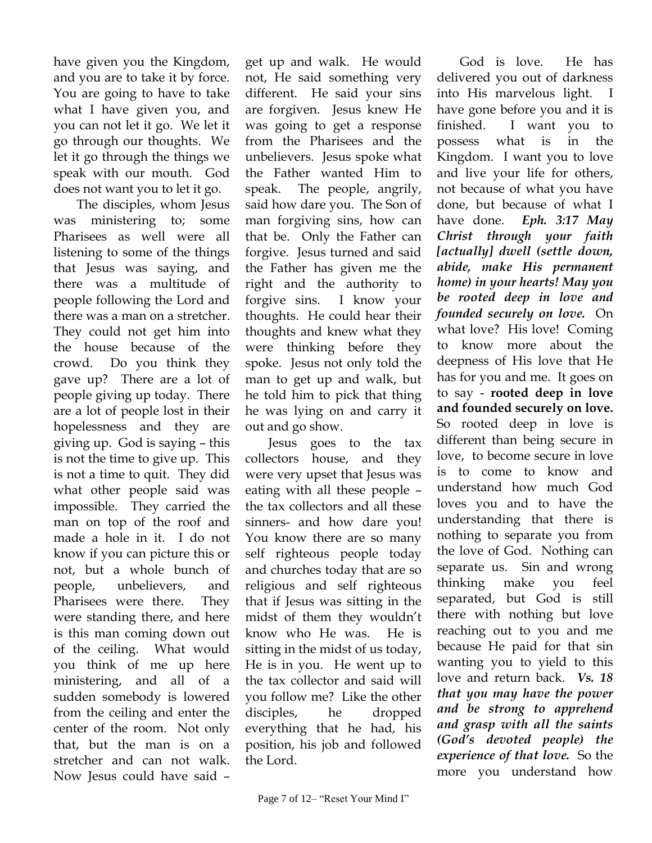have given you the Kingdom, and you are to take it by force. You are going to have to take what I have given you, and you can not let it go. We let it go through our thoughts. We let it go through the things we speak with our mouth. God does not want you to let it go.

The disciples, whom Jesus was ministering to; some Pharisees as well were all listening to some of the things that Jesus was saying, and there was a multitude of people following the Lord and there was a man on a stretcher. They could not get him into the house because of the crowd. Do you think they gave up? There are a lot of people giving up today. There are a lot of people lost in their hopelessness and they are giving up. God is saying – this is not the time to give up. This is not a time to quit. They did what other people said was impossible. They carried the man on top of the roof and made a hole in it. I do not know if you can picture this or not, but a whole bunch of people, unbelievers, and Pharisees were there. They were standing there, and here is this man coming down out of the ceiling. What would you think of me up here ministering, and all of a sudden somebody is lowered from the ceiling and enter the center of the room. Not only that, but the man is on a stretcher and can not walk. Now Jesus could have said –

get up and walk. He would not, He said something very different. He said your sins are forgiven. Jesus knew He was going to get a response from the Pharisees and the unbelievers. Jesus spoke what the Father wanted Him to speak. The people, angrily, said how dare you. The Son of man forgiving sins, how can that be. Only the Father can forgive. Jesus turned and said the Father has given me the right and the authority to forgive sins. I know your thoughts. He could hear their thoughts and knew what they were thinking before they spoke. Jesus not only told the man to get up and walk, but he told him to pick that thing he was lying on and carry it out and go show.

Jesus goes to the tax collectors house, and they were very upset that Jesus was eating with all these people – the tax collectors and all these sinners- and how dare you! You know there are so many self righteous people today and churches today that are so religious and self righteous that if Jesus was sitting in the midst of them they wouldn't know who He was. He is sitting in the midst of us today, He is in you. He went up to the tax collector and said will you follow me? Like the other disciples, he dropped everything that he had, his position, his job and followed the Lord.

God is love. He has delivered you out of darkness into His marvelous light. I have gone before you and it is finished. I want you to possess what is in the Kingdom. I want you to love and live your life for others, not because of what you have done, but because of what I have done. *Eph. 3:17 May Christ through your faith [actually] dwell (settle down, abide, make His permanent home) in your hearts! May you be rooted deep in love and founded securely on love.* On what love? His love! Coming to know more about the deepness of His love that He has for you and me. It goes on to say - **rooted deep in love and founded securely on love.** So rooted deep in love is different than being secure in love, to become secure in love is to come to know and understand how much God loves you and to have the understanding that there is nothing to separate you from the love of God. Nothing can separate us. Sin and wrong thinking make you feel separated, but God is still there with nothing but love reaching out to you and me because He paid for that sin wanting you to yield to this love and return back. *Vs. 18 that you may have the power and be strong to apprehend and grasp with all the saints (God's devoted people) the experience of that love.*So the more you understand how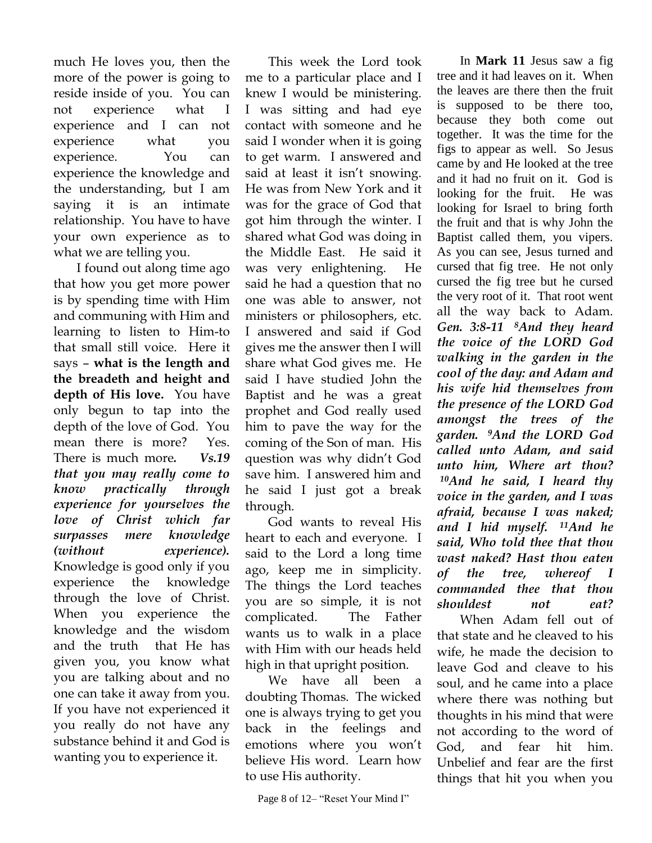much He loves you, then the more of the power is going to reside inside of you. You can not experience what I experience and I can not experience what you experience. You can experience the knowledge and the understanding, but I am saying it is an intimate relationship. You have to have your own experience as to what we are telling you.

I found out along time ago that how you get more power is by spending time with Him and communing with Him and learning to listen to Him-to that small still voice. Here it says – **what is the length and the breadeth and height and depth of His love.** You have only begun to tap into the depth of the love of God. You mean there is more? Yes. There is much more*. Vs.19 that you may really come to know practically through experience for yourselves the love of Christ which far surpasses mere knowledge (without experience).* Knowledge is good only if you experience the knowledge through the love of Christ. When you experience the knowledge and the wisdom and the truth that He has given you, you know what you are talking about and no one can take it away from you. If you have not experienced it you really do not have any substance behind it and God is wanting you to experience it.

This week the Lord took me to a particular place and I knew I would be ministering. I was sitting and had eye contact with someone and he said I wonder when it is going to get warm. I answered and said at least it isn't snowing. He was from New York and it was for the grace of God that got him through the winter. I shared what God was doing in the Middle East. He said it was very enlightening. He said he had a question that no one was able to answer, not ministers or philosophers, etc. I answered and said if God gives me the answer then I will share what God gives me. He said I have studied John the Baptist and he was a great prophet and God really used him to pave the way for the coming of the Son of man. His question was why didn't God save him. I answered him and he said I just got a break through.

God wants to reveal His heart to each and everyone. I said to the Lord a long time ago, keep me in simplicity. The things the Lord teaches you are so simple, it is not complicated. The Father wants us to walk in a place with Him with our heads held high in that upright position.

We have all been a doubting Thomas. The wicked one is always trying to get you back in the feelings and emotions where you won't believe His word. Learn how to use His authority.

In **Mark 11** Jesus saw a fig tree and it had leaves on it. When the leaves are there then the fruit is supposed to be there too, because they both come out together. It was the time for the figs to appear as well. So Jesus came by and He looked at the tree and it had no fruit on it. God is looking for the fruit. He was looking for Israel to bring forth the fruit and that is why John the Baptist called them, you vipers. As you can see, Jesus turned and cursed that fig tree. He not only cursed the fig tree but he cursed the very root of it. That root went all the way back to Adam. *Gen. 3:8-11 8And they heard the voice of the LORD God walking in the garden in the cool of the day: and Adam and his wife hid themselves from the presence of the LORD God amongst the trees of the garden. 9And the LORD God called unto Adam, and said unto him, Where art thou? <sup>10</sup>And he said, I heard thy voice in the garden, and I was afraid, because I was naked; and I hid myself. 11And he said, Who told thee that thou wast naked? Hast thou eaten of the tree, whereof I commanded thee that thou shouldest not eat?* 

When Adam fell out of that state and he cleaved to his wife, he made the decision to leave God and cleave to his soul, and he came into a place where there was nothing but thoughts in his mind that were not according to the word of God, and fear hit him. Unbelief and fear are the first things that hit you when you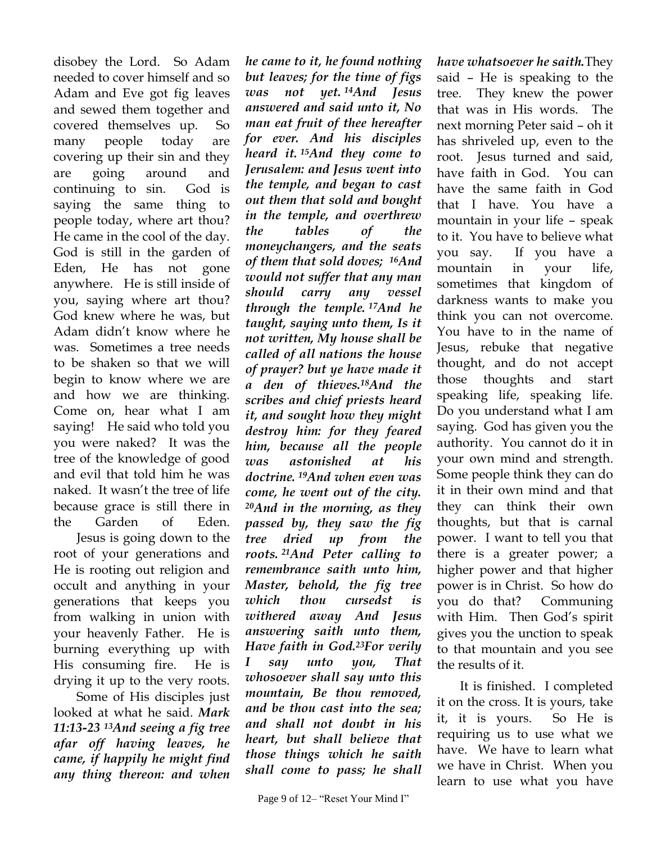disobey the Lord. So Adam needed to cover himself and so Adam and Eve got fig leaves and sewed them together and covered themselves up. So many people today are covering up their sin and they are going around and continuing to sin. God is saying the same thing to people today, where art thou? He came in the cool of the day. God is still in the garden of Eden, He has not gone anywhere. He is still inside of you, saying where art thou? God knew where he was, but Adam didn't know where he was. Sometimes a tree needs to be shaken so that we will begin to know where we are and how we are thinking. Come on, hear what I am saying! He said who told you you were naked? It was the tree of the knowledge of good and evil that told him he was naked. It wasn't the tree of life because grace is still there in the Garden of Eden.

Jesus is going down to the root of your generations and He is rooting out religion and occult and anything in your generations that keeps you from walking in union with your heavenly Father. He is burning everything up with His consuming fire. He is drying it up to the very roots.

Some of His disciples just looked at what he said. *Mark 11:13-23 <sup>13</sup>And seeing a fig tree afar off having leaves, he came, if happily he might find any thing thereon: and when* 

*he came to it, he found nothing but leaves; for the time of figs was not yet. <sup>14</sup>And Jesus answered and said unto it, No man eat fruit of thee hereafter for ever. And his disciples heard it. <sup>15</sup>And they come to Jerusalem: and Jesus went into the temple, and began to cast out them that sold and bought in the temple, and overthrew the tables of the moneychangers, and the seats of them that sold doves; 16And would not suffer that any man should carry any vessel through the temple. <sup>17</sup>And he taught, saying unto them, Is it not written, My house shall be called of all nations the house of prayer? but ye have made it a den of thieves.18And the scribes and chief priests heard it, and sought how they might destroy him: for they feared him, because all the people was astonished at his doctrine. <sup>19</sup>And when even was come, he went out of the city. <sup>20</sup>And in the morning, as they passed by, they saw the fig tree dried up from the roots. <sup>21</sup>And Peter calling to remembrance saith unto him, Master, behold, the fig tree which thou cursedst is withered away And Jesus answering saith unto them, Have faith in God.23For verily I say unto you, That whosoever shall say unto this mountain, Be thou removed, and be thou cast into the sea; and shall not doubt in his heart, but shall believe that those things which he saith shall come to pass; he shall* 

Page 9 of 12– "Reset Your Mind I"

*have whatsoever he saith.*They said – He is speaking to the tree. They knew the power that was in His words. The next morning Peter said – oh it has shriveled up, even to the root. Jesus turned and said, have faith in God. You can have the same faith in God that I have. You have a mountain in your life – speak to it. You have to believe what you say. If you have a mountain in your life, sometimes that kingdom of darkness wants to make you think you can not overcome. You have to in the name of Jesus, rebuke that negative thought, and do not accept those thoughts and start speaking life, speaking life. Do you understand what I am saying. God has given you the authority. You cannot do it in your own mind and strength. Some people think they can do it in their own mind and that they can think their own thoughts, but that is carnal power. I want to tell you that there is a greater power; a higher power and that higher power is in Christ. So how do you do that? Communing with Him. Then God's spirit gives you the unction to speak to that mountain and you see the results of it.

It is finished. I completed it on the cross. It is yours, take it, it is yours. So He is requiring us to use what we have. We have to learn what we have in Christ. When you learn to use what you have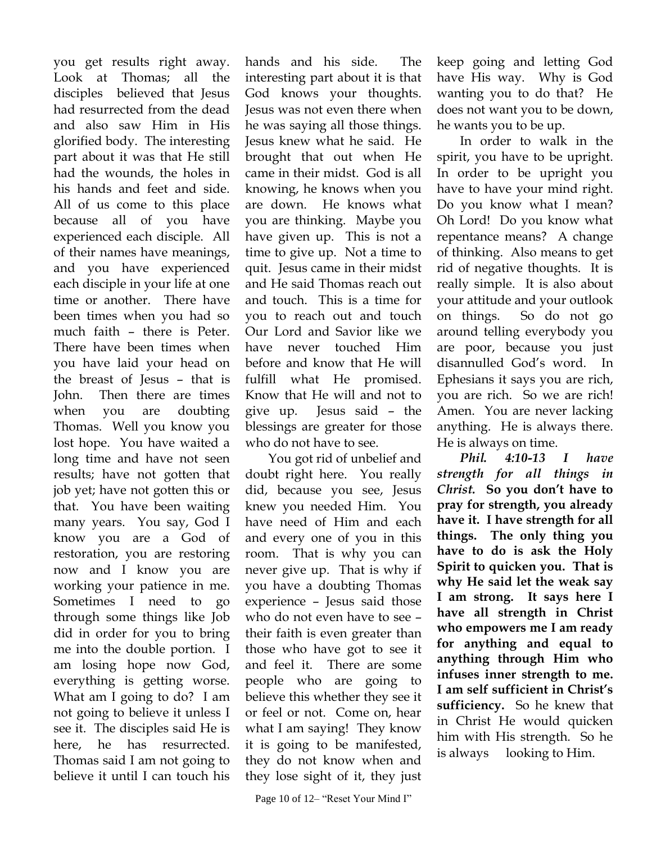you get results right away. Look at Thomas; all the disciples believed that Jesus had resurrected from the dead and also saw Him in His glorified body. The interesting part about it was that He still had the wounds, the holes in his hands and feet and side. All of us come to this place because all of you have experienced each disciple. All of their names have meanings, and you have experienced each disciple in your life at one time or another. There have been times when you had so much faith – there is Peter. There have been times when you have laid your head on the breast of Jesus – that is John. Then there are times when you are doubting Thomas. Well you know you lost hope. You have waited a long time and have not seen results; have not gotten that job yet; have not gotten this or that. You have been waiting many years. You say, God I know you are a God of restoration, you are restoring now and I know you are working your patience in me. Sometimes I need to go through some things like Job did in order for you to bring me into the double portion. I am losing hope now God, everything is getting worse. What am I going to do? I am not going to believe it unless I see it. The disciples said He is here, he has resurrected. Thomas said I am not going to believe it until I can touch his

hands and his side. The interesting part about it is that God knows your thoughts. Jesus was not even there when he was saying all those things. Jesus knew what he said. He brought that out when He came in their midst. God is all knowing, he knows when you are down. He knows what you are thinking. Maybe you have given up. This is not a time to give up. Not a time to quit. Jesus came in their midst and He said Thomas reach out and touch. This is a time for you to reach out and touch Our Lord and Savior like we have never touched Him before and know that He will fulfill what He promised. Know that He will and not to give up. Jesus said – the blessings are greater for those who do not have to see.

You got rid of unbelief and doubt right here. You really did, because you see, Jesus knew you needed Him. You have need of Him and each and every one of you in this room. That is why you can never give up. That is why if you have a doubting Thomas experience – Jesus said those who do not even have to see – their faith is even greater than those who have got to see it and feel it. There are some people who are going to believe this whether they see it or feel or not. Come on, hear what I am saying! They know it is going to be manifested, they do not know when and they lose sight of it, they just keep going and letting God have His way. Why is God wanting you to do that? He does not want you to be down, he wants you to be up.

In order to walk in the spirit, you have to be upright. In order to be upright you have to have your mind right. Do you know what I mean? Oh Lord! Do you know what repentance means? A change of thinking. Also means to get rid of negative thoughts. It is really simple. It is also about your attitude and your outlook on things. So do not go around telling everybody you are poor, because you just disannulled God's word. In Ephesians it says you are rich, you are rich. So we are rich! Amen. You are never lacking anything. He is always there. He is always on time.

*Phil. 4:10-13 I have strength for all things in Christ.* **So you don't have to pray for strength, you already have it. I have strength for all things. The only thing you have to do is ask the Holy Spirit to quicken you. That is why He said let the weak say I am strong. It says here I have all strength in Christ who empowers me I am ready for anything and equal to anything through Him who infuses inner strength to me. I am self sufficient in Christ's sufficiency.** So he knew that in Christ He would quicken him with His strength. So he is always looking to Him.

Page 10 of 12– "Reset Your Mind I"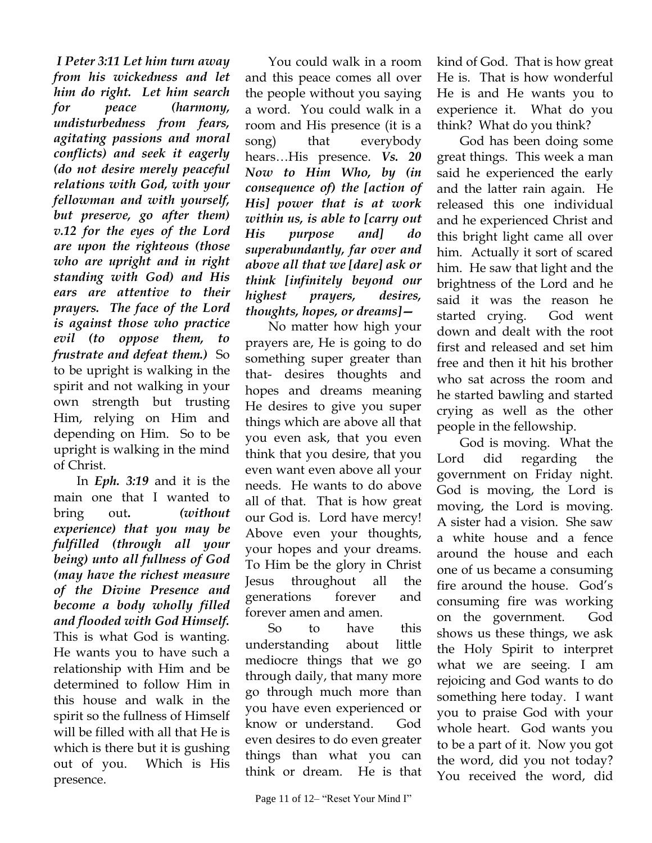*I Peter 3:11 Let him turn away from his wickedness and let him do right. Let him search for peace (harmony, undisturbedness from fears, agitating passions and moral conflicts) and seek it eagerly (do not desire merely peaceful relations with God, with your fellowman and with yourself, but preserve, go after them) v.12 for the eyes of the Lord are upon the righteous (those who are upright and in right standing with God) and His ears are attentive to their prayers. The face of the Lord is against those who practice evil (to oppose them, to frustrate and defeat them.)* So to be upright is walking in the spirit and not walking in your own strength but trusting Him, relying on Him and depending on Him. So to be upright is walking in the mind of Christ.

In *Eph. 3:19* and it is the main one that I wanted to bring out**.** *(without experience) that you may be fulfilled (through all your being) unto all fullness of God (may have the richest measure of the Divine Presence and become a body wholly filled and flooded with God Himself.* This is what God is wanting. He wants you to have such a relationship with Him and be determined to follow Him in this house and walk in the spirit so the fullness of Himself will be filled with all that He is which is there but it is gushing out of you. Which is His presence.

You could walk in a room and this peace comes all over the people without you saying a word. You could walk in a room and His presence (it is a song) that everybody hears…His presence. *Vs. 20 Now to Him Who, by (in consequence of) the [action of His] power that is at work within us, is able to [carry out His purpose and] do superabundantly, far over and above all that we [dare] ask or think [infinitely beyond our highest prayers, desires, thoughts, hopes, or dreams]—*

No matter how high your prayers are, He is going to do something super greater than that- desires thoughts and hopes and dreams meaning He desires to give you super things which are above all that you even ask, that you even think that you desire, that you even want even above all your needs. He wants to do above all of that. That is how great our God is. Lord have mercy! Above even your thoughts, your hopes and your dreams. To Him be the glory in Christ Jesus throughout all the generations forever and forever amen and amen.

So to have this understanding about little mediocre things that we go through daily, that many more go through much more than you have even experienced or know or understand. God even desires to do even greater things than what you can think or dream. He is that

kind of God. That is how great He is. That is how wonderful He is and He wants you to experience it. What do you think? What do you think?

God has been doing some great things. This week a man said he experienced the early and the latter rain again. He released this one individual and he experienced Christ and this bright light came all over him. Actually it sort of scared him. He saw that light and the brightness of the Lord and he said it was the reason he started crying. God went down and dealt with the root first and released and set him free and then it hit his brother who sat across the room and he started bawling and started crying as well as the other people in the fellowship.

God is moving. What the Lord did regarding the government on Friday night. God is moving, the Lord is moving, the Lord is moving. A sister had a vision. She saw a white house and a fence around the house and each one of us became a consuming fire around the house. God's consuming fire was working on the government. God shows us these things, we ask the Holy Spirit to interpret what we are seeing. I am rejoicing and God wants to do something here today. I want you to praise God with your whole heart. God wants you to be a part of it. Now you got the word, did you not today? You received the word, did